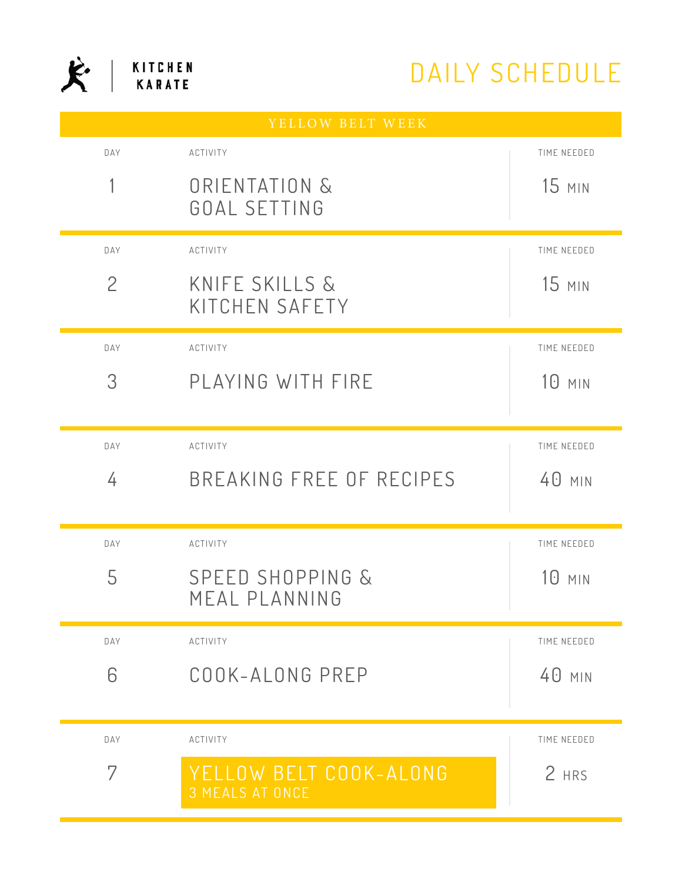## DAILY SCHEDULE

| YELLOW BELT WEEK |                                                  |               |  |
|------------------|--------------------------------------------------|---------------|--|
| DAY              | ACTIVITY                                         | TIME NEEDED   |  |
|                  | ORIENTATION &<br>GOAL SETTING                    | <b>15 MIN</b> |  |
|                  |                                                  |               |  |
| DAY              | ACTIVITY                                         | TIME NEEDED   |  |
| $\overline{2}$   | KNIFE SKILLS &<br>KITCHEN SAFETY                 | $15$ MIN      |  |
| DAY              | ACTIVITY                                         | TIME NEEDED   |  |
| 3                | PLAYING WITH FIRE                                | 10 MIN        |  |
|                  |                                                  |               |  |
| DAY              | ACTIVITY                                         | TIME NEEDED   |  |
| 4                | BREAKING FREE OF RECIPES                         | 40 MIN        |  |
|                  |                                                  |               |  |
| DAY              | <b>ACTIVITY</b>                                  | TIME NEEDED   |  |
| 5                | <b>SPEED SHOPPING &amp;</b>                      | $10$ min      |  |
|                  | MEAL PLANNING                                    |               |  |
| DAY              | ACTIVITY                                         | TIME NEEDED   |  |
| 6                | COOK-ALONG PREP                                  | 40 MIN        |  |
|                  |                                                  |               |  |
| DAY              | ACTIVITY                                         | TIME NEEDED   |  |
| 7                | YELLOW BELT COOK-ALONG<br><b>3 MEALS AT ONCE</b> | 2 HRS         |  |

 $\mathbf{\hat{K}}$  | KITCHEN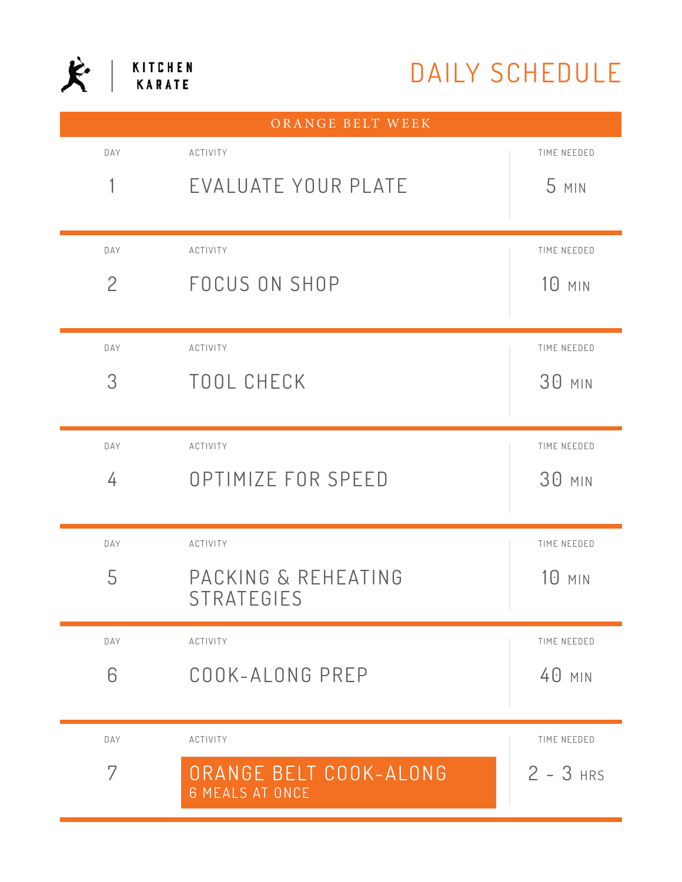

## DAILY SCHEDULE

| ORANGE BELT WEEK |                                                  |               |  |
|------------------|--------------------------------------------------|---------------|--|
| DAY              | ACTIVITY                                         | TIME NEEDED   |  |
|                  | EVALUATE YOUR PLATE                              | 5 MIN         |  |
|                  |                                                  |               |  |
| DAY              | ACTIVITY                                         | TIME NEEDED   |  |
| $\overline{2}$   | FOCUS ON SHOP                                    | <b>10 MIN</b> |  |
|                  |                                                  |               |  |
| DAY              | ACTIVITY                                         | TIME NEEDED   |  |
| 3                | TOOL CHECK                                       | <b>30 MIN</b> |  |
|                  |                                                  |               |  |
| DAY              | ACTIVITY                                         | TIME NEEDED   |  |
| 4                | OPTIMIZE FOR SPEED                               | <b>30 MIN</b> |  |
|                  |                                                  |               |  |
| DAY              | ACTIVITY                                         | TIME NEEDED   |  |
| 5                | PACKING & REHEATING                              | 10 MIN        |  |
|                  | STRATEGIES                                       |               |  |
| DAY              | ACTIVITY                                         | TIME NEEDED   |  |
| 6                | COOK-ALONG PREP                                  | 40 MIN        |  |
|                  |                                                  |               |  |
| DAY              | ACTIVITY                                         | TIME NEEDED   |  |
| 7                | ORANGE BELT COOK-ALONG<br><b>6 MEALS AT ONCE</b> | $2 - 3$ HRS   |  |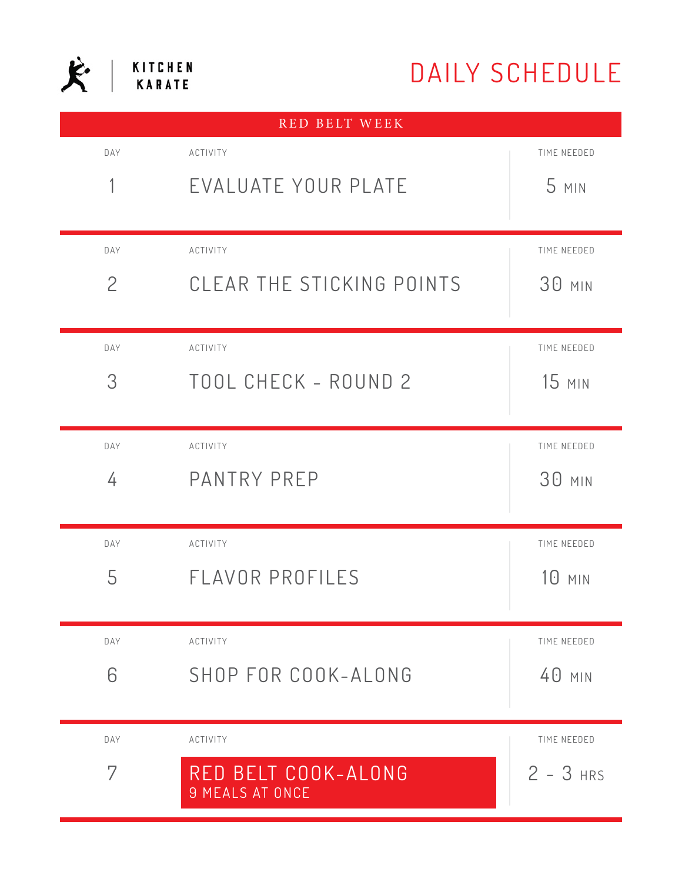## DAILY SCHEDULE

| KITCHEN       |
|---------------|
| <b>KARATE</b> |

| RED BELT WEEK  |                           |               |  |
|----------------|---------------------------|---------------|--|
| DAY            | ACTIVITY                  | TIME NEEDED   |  |
| 1              | EVALUATE YOUR PLATE       | 5 MIN         |  |
|                |                           |               |  |
| DAY            | ACTIVITY                  | TIME NEEDED   |  |
| $\overline{2}$ | CLEAR THE STICKING POINTS | 30 MIN        |  |
|                |                           |               |  |
| DAY            | ACTIVITY                  | TIME NEEDED   |  |
| 3              | TOOL CHECK - ROUND 2      | <b>15 MIN</b> |  |
|                |                           |               |  |
| DAY            | ACTIVITY                  | TIME NEEDED   |  |
| 4              | PANTRY PREP               | <b>30 MIN</b> |  |
|                |                           |               |  |
| DAY            | ACTIVITY                  | TIME NEEDED   |  |
| 5              | FLAVOR PROFILES           | 10 MIN        |  |
|                |                           |               |  |
| DAY            | ACTIVITY                  | TIME NEEDED   |  |
| 6              | SHOP FOR COOK-ALONG       | 40 MIN        |  |
|                |                           |               |  |
| DAY            | ACTIVITY                  | TIME NEEDED   |  |
| 7              | RED BELT COOK-ALONG       | $2 - 3$ HRS   |  |
|                | <b>9 MEALS AT ONCE</b>    |               |  |